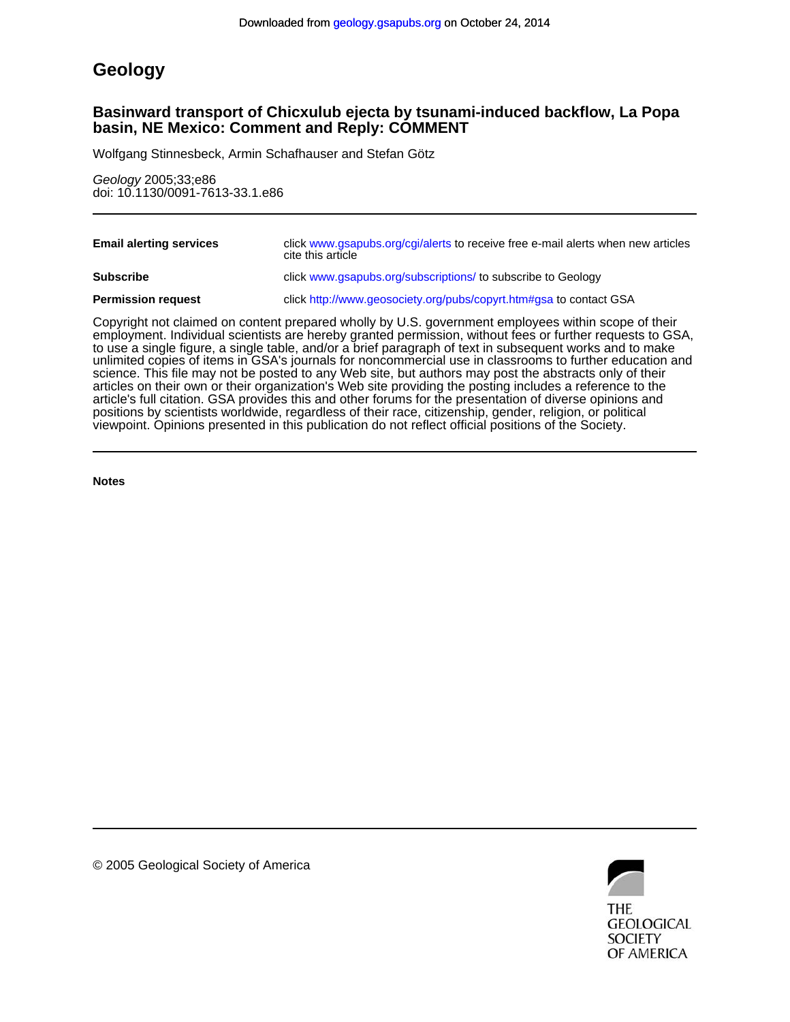# **Geology**

# **basin, NE Mexico: Comment and Reply: COMMENT Basinward transport of Chicxulub ejecta by tsunami-induced backflow, La Popa**

Wolfgang Stinnesbeck, Armin Schafhauser and Stefan Götz

doi: 10.1130/0091-7613-33.1.e86 Geology 2005;33;e86

| <b>Email alerting services</b> | click www.gsapubs.org/cgi/alerts to receive free e-mail alerts when new articles<br>cite this article |
|--------------------------------|-------------------------------------------------------------------------------------------------------|
| <b>Subscribe</b>               | click www.gsapubs.org/subscriptions/ to subscribe to Geology                                          |
| <b>Permission request</b>      | click http://www.geosociety.org/pubs/copyrt.htm#gsa to contact GSA                                    |

viewpoint. Opinions presented in this publication do not reflect official positions of the Society. positions by scientists worldwide, regardless of their race, citizenship, gender, religion, or political article's full citation. GSA provides this and other forums for the presentation of diverse opinions and articles on their own or their organization's Web site providing the posting includes a reference to the science. This file may not be posted to any Web site, but authors may post the abstracts only of their unlimited copies of items in GSA's journals for noncommercial use in classrooms to further education and to use a single figure, a single table, and/or a brief paragraph of text in subsequent works and to make employment. Individual scientists are hereby granted permission, without fees or further requests to GSA, Copyright not claimed on content prepared wholly by U.S. government employees within scope of their

**Notes**



© 2005 Geological Society of America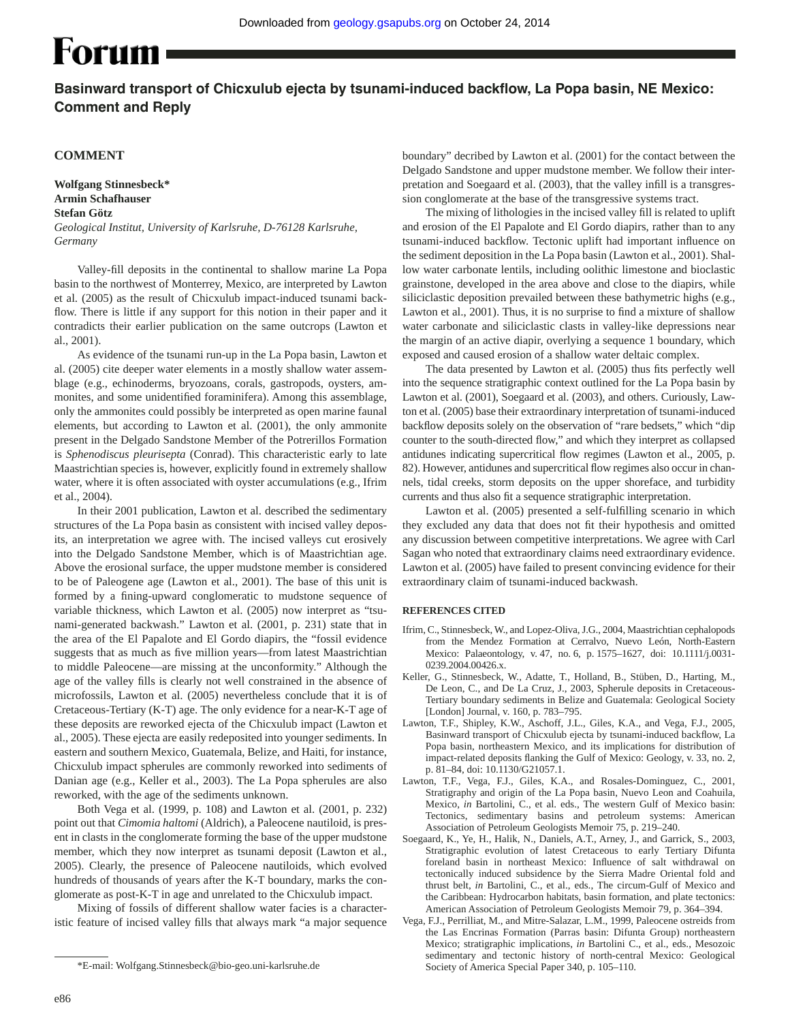# Forum **(**

# Basinward transport of Chicxulub ejecta by tsunami-induced backflow, La Popa basin, NE Mexico: **Comment and Reply**

## **COMMENT**

*Germany*

**Wolfgang Stinnesbeck\* Armin Schafhauser Stefan Götz** *Geological Institut, University of Karlsruhe, D-76128 Karlsruhe,* 

Valley-fill deposits in the continental to shallow marine La Popa basin to the northwest of Monterrey, Mexico, are interpreted by Lawton et al. (2005) as the result of Chicxulub impact-induced tsunami backflow. There is little if any support for this notion in their paper and it contradicts their earlier publication on the same outcrops (Lawton et al., 2001).

As evidence of the tsunami run-up in the La Popa basin, Lawton et al. (2005) cite deeper water elements in a mostly shallow water assemblage (e.g., echinoderms, bryozoans, corals, gastropods, oysters, ammonites, and some unidentified foraminifera). Among this assemblage, only the ammonites could possibly be interpreted as open marine faunal elements, but according to Lawton et al. (2001), the only ammonite present in the Delgado Sandstone Member of the Potrerillos Formation is *Sphenodiscus pleurisepta* (Conrad). This characteristic early to late Maastrichtian species is, however, explicitly found in extremely shallow water, where it is often associated with oyster accumulations (e.g., Ifrim et al., 2004).

In their 2001 publication, Lawton et al. described the sedimentary structures of the La Popa basin as consistent with incised valley deposits, an interpretation we agree with. The incised valleys cut erosively into the Delgado Sandstone Member, which is of Maastrichtian age. Above the erosional surface, the upper mudstone member is considered to be of Paleogene age (Lawton et al., 2001). The base of this unit is formed by a fining-upward conglomeratic to mudstone sequence of variable thickness, which Lawton et al. (2005) now interpret as "tsunami-generated backwash." Lawton et al. (2001, p. 231) state that in the area of the El Papalote and El Gordo diapirs, the "fossil evidence suggests that as much as five million years—from latest Maastrichtian to middle Paleocene—are missing at the unconformity." Although the age of the valley fills is clearly not well constrained in the absence of microfossils, Lawton et al. (2005) nevertheless conclude that it is of Cretaceous-Tertiary (K-T) age. The only evidence for a near-K-T age of these deposits are reworked ejecta of the Chicxulub impact (Lawton et al., 2005). These ejecta are easily redeposited into younger sediments. In eastern and southern Mexico, Guatemala, Belize, and Haiti, for instance, Chicxulub impact spherules are commonly reworked into sediments of Danian age (e.g., Keller et al., 2003). The La Popa spherules are also reworked, with the age of the sediments unknown.

Both Vega et al. (1999, p. 108) and Lawton et al. (2001, p. 232) point out that *Cimomia haltomi* (Aldrich), a Paleocene nautiloid, is present in clasts in the conglomerate forming the base of the upper mudstone member, which they now interpret as tsunami deposit (Lawton et al., 2005). Clearly, the presence of Paleocene nautiloids, which evolved hundreds of thousands of years after the K-T boundary, marks the conglomerate as post-K-T in age and unrelated to the Chicxulub impact.

Mixing of fossils of different shallow water facies is a characteristic feature of incised valley fills that always mark "a major sequence boundary" decribed by Lawton et al. (2001) for the contact between the Delgado Sandstone and upper mudstone member. We follow their interpretation and Soegaard et al. (2003), that the valley infill is a transgression conglomerate at the base of the transgressive systems tract.

The mixing of lithologies in the incised valley fill is related to uplift and erosion of the El Papalote and El Gordo diapirs, rather than to any tsunami-induced backflow. Tectonic uplift had important influence on the sediment deposition in the La Popa basin (Lawton et al., 2001). Shallow water carbonate lentils, including oolithic limestone and bioclastic grainstone, developed in the area above and close to the diapirs, while siliciclastic deposition prevailed between these bathymetric highs (e.g., Lawton et al., 2001). Thus, it is no surprise to find a mixture of shallow water carbonate and siliciclastic clasts in valley-like depressions near the margin of an active diapir, overlying a sequence 1 boundary, which exposed and caused erosion of a shallow water deltaic complex.

The data presented by Lawton et al. (2005) thus fits perfectly well into the sequence stratigraphic context outlined for the La Popa basin by Lawton et al. (2001), Soegaard et al. (2003), and others. Curiously, Lawton et al. (2005) base their extraordinary interpretation of tsunami-induced backflow deposits solely on the observation of "rare bedsets," which "dip counter to the south-directed flow," and which they interpret as collapsed antidunes indicating supercritical flow regimes (Lawton et al., 2005, p. 82). However, antidunes and supercritical flow regimes also occur in channels, tidal creeks, storm deposits on the upper shoreface, and turbidity currents and thus also fit a sequence stratigraphic interpretation.

Lawton et al. (2005) presented a self-fulfilling scenario in which they excluded any data that does not fit their hypothesis and omitted any discussion between competitive interpretations. We agree with Carl Sagan who noted that extraordinary claims need extraordinary evidence. Lawton et al. (2005) have failed to present convincing evidence for their extraordinary claim of tsunami-induced backwash.

#### **REFERENCES CITED**

- Ifrim, C., Stinnesbeck, W., and Lopez-Oliva, J.G., 2004, Maastrichtian cephalopods from the Mendez Formation at Cerralvo, Nuevo León, North-Eastern Mexico: Palaeontology, v. 47, no. 6, p. 1575–1627, doi: 10.1111/j.0031- 0239.2004.00426.x.
- Keller, G., Stinnesbeck, W., Adatte, T., Holland, B., Stüben, D., Harting, M., De Leon, C., and De La Cruz, J., 2003, Spherule deposits in Cretaceous-Tertiary boundary sediments in Belize and Guatemala: Geological Society [London] Journal, v. 160, p. 783–795.
- Lawton, T.F., Shipley, K.W., Aschoff, J.L., Giles, K.A., and Vega, F.J., 2005, Basinward transport of Chicxulub ejecta by tsunami-induced backflow, La Popa basin, northeastern Mexico, and its implications for distribution of impact-related deposits flanking the Gulf of Mexico: Geology, v. 33, no. 2, p. 81–84, doi: 10.1130/G21057.1.
- Lawton, T.F., Vega, F.J., Giles, K.A., and Rosales-Dominguez, C., 2001, Stratigraphy and origin of the La Popa basin, Nuevo Leon and Coahuila, Mexico, *in* Bartolini, C., et al. eds., The western Gulf of Mexico basin: Tectonics, sedimentary basins and petroleum systems: American Association of Petroleum Geologists Memoir 75, p. 219–240.
- Soegaard, K., Ye, H., Halik, N., Daniels, A.T., Arney, J., and Garrick, S., 2003, Stratigraphic evolution of latest Cretaceous to early Tertiary Difunta foreland basin in northeast Mexico: Influence of salt withdrawal on tectonically induced subsidence by the Sierra Madre Oriental fold and thrust belt, *in* Bartolini, C., et al., eds., The circum-Gulf of Mexico and the Caribbean: Hydrocarbon habitats, basin formation, and plate tectonics: American Association of Petroleum Geologists Memoir 79, p. 364–394.
- Vega, F.J., Perrilliat, M., and Mitre-Salazar, L.M., 1999, Paleocene ostreids from the Las Encrinas Formation (Parras basin: Difunta Group) northeastern Mexico; stratigraphic implications, *in* Bartolini C., et al., eds., Mesozoic sedimentary and tectonic history of north-central Mexico: Geological Society of America Special Paper 340, p. 105–110.

<sup>\*</sup>E-mail: Wolfgang.Stinnesbeck@bio-geo.uni-karlsruhe.de